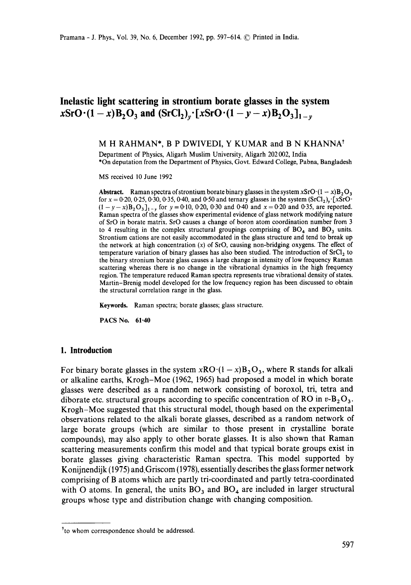# **Inelastic light scattering in strontium borate glasses in the system**   $xSrO (1-x)B_2O_3$  and  $(SrCl_2)_y$  [xSrO $(1-y-x)B_2O_3]_{1-y}$

## M H RAHMAN\*, B P DWIVEDI, Y KUMAR and B N KHANNA<sup>†</sup>

Department of Physics, Aligarh Muslim University, Aligarh 202 002, India \*On deputation from the Department of Physics, Govt. Edward College, Pabna, Bangladesh

MS received 10 June 1992

**Abstract.** Raman spectra of strontium borate binary glasses in the system xSrO $\cdot(1 - x)B$ , O<sub>3</sub> for  $x = 0.20, 0.25, 0.30, 0.35, 0.40,$  and  $0.50$  and ternary glasses in the system  $(SrCl<sub>2</sub>)<sub>y</sub>$ . [xSrO<sup>1</sup>]  $(1 - y - x)B_2O_3$ ]<sub>1-y</sub> for y = 0.10, 0.20, 0.30 and 0.40 and x = 0.20 and 0.35, are reported. Raman spectra of the glasses show experimental evidence of glass network modifying nature of SrO in borate matrix. SrO causes a change of boron atom coordination number from 3 to 4 resulting in the complex structural groupings comprising of  $BO<sub>4</sub>$  and  $BO<sub>3</sub>$  units. Strontium cations are not easily accommodated in the glass structure and tend to break up the network at high concentration  $(x)$  of SrO, causing non-bridging oxygens. The effect of temperature variation of binary glasses has also been studied. The introduction of  $SrCl<sub>2</sub>$  to the binary stronium borate glass causes a large change in intensity of low frequency Raman scattering whereas there is no change in the vibrational dynamics in the high frequency region. The temperature reduced Raman spectra represents true vibrational density of states. Martin-Brenig model developed for the low frequency region has been discussed to obtain the structural correlation range in the glass.

**Keywords.** Raman spectra; borate glasses; glass structure.

**PACS No. 61.40** 

#### **1. Introduction**

For binary borate glasses in the system  $xRO(1-x)B_2O_3$ , where R stands for alkali or alkaline earths, Krogh-Moe (1962, 1965) had proposed a model in which borate glasses were described as a random network consisting of boroxol, tri, tetra and diborate etc. structural groups according to specific concentration of RO in  $v-\mathbf{B}_2\mathbf{O}_3$ . Krogh-Moe suggested that this structural model, though based on the experimental observations related to the alkali borate glasses, described as a random network of large borate groups (which are similar to those present in crystalline borate compounds), may also apply to other borate glasses. It is also shown that Raman scattering measurements confirm this model and that typical borate groups exist in borate glasses giving characteristic Raman spectra. This model supported by Konijnendijk (1975) and.Griscom (1978), essentially describes the glass former network comprising of B atoms which are partly tri-coordinated and partly tetra-coordinated with O atoms. In general, the units  $BO<sub>3</sub>$  and  $BO<sub>4</sub>$  are included in larger structural groups whose type and distribution change with changing composition.

<sup>\*</sup>to whom correspondence should be addressed.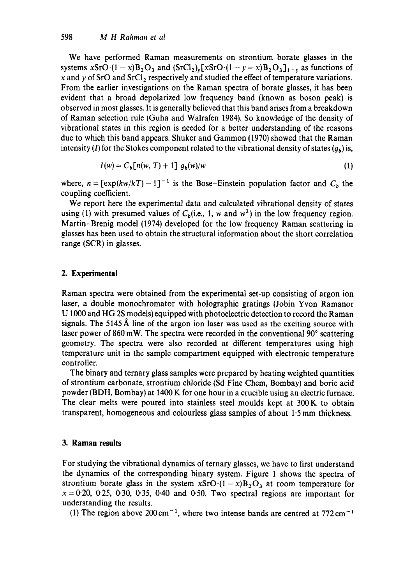We have performed Raman measurements on strontium borate glasses in the systems  $xSrO(1-x)B_2O_3$  and  $(SrCl_2)_x[xSrO(1-y-x)B_2O_3]_{1-y}$  as functions of x and y of SrO and SrCl<sub>2</sub> respectively and studied the effect of temperature variations. From the earlier investigations on the Raman spectra of borate glasses, it has been evident that a broad depolarized low frequency band (known as boson peak) is observed in most glasses. It is generally believed that this band arises from a breakdown of Raman selection rule (Guha and Walrafen 1984). So knowledge of the density of vibrational states in this region is needed for a better understanding of the reasons due to which this band appears. Shuker and Gammon (1970) showed that the Raman intensity (I) for the Stokes component related to the vibrational density of states  $(g_b)$  is,

$$
I(w) = C_b [n(w, T) + 1] g_b(w)/w \qquad (1)
$$

where,  $n = \frac{[exp(hw/kT)-1]^{-1}}{[exp(hw/kT)-1]}$  is the Bose-Einstein population factor and  $C<sub>b</sub>$  the coupling coefficient.

We report here the experimental data and calculated vibrational density of states using (1) with presumed values of  $C<sub>b</sub>$ (i.e., 1, w and w<sup>2</sup>) in the low frequency region. Martin-Brenig model (1974) developed for the low frequency Raman scattering in glasses has been used to obtain the structural information about the short correlation range (SCR) in glasses.

# 2. Experimental

Raman spectra were obtained from the experimental set-up consisting of argon ion laser, a double monochromator with holographic gratings (Jobin Yvon Ramanor U 1000 and HG 2S models) equipped with photoelectric detection to record the Raman signals. The 5145  $\AA$  line of the argon ion laser was used as the exciting source with laser power of  $860 \,\text{mW}$ . The spectra were recorded in the conventional  $90^\circ$  scattering geometry. The spectra were also recorded at different temperatures using high temperature unit in the sample compartment equipped with electronic temperature controller.

The binary and ternary glass samples were prepared by heating weighted quantities of strontium carbonate, strontium chloride (Sd Fine Chem, Bombay) and boric acid powder (BDH, Bombay) at 1400 K for one hour in a crucible using an electric furnace. The clear melts were poured into stainless steel moulds kept at 300 K to obtain transparent, homogeneous and colourless glass samples of about 1.5 mm thickness.

# **3. Raman results**

For studying the vibrational dynamics of ternary glasses, we have to first understand the dynamics of the corresponding binary system. Figure 1 shows the spectra of strontium borate glass in the system  $xSrO(1-x)B<sub>2</sub>O<sub>3</sub>$  at room temperature for  $x = 0.20$ , 0.25, 0.30, 0.35, 0.40 and 0.50. Two spectral regions are important for understanding the results.

(1) The region above 200 cm<sup>-1</sup>, where two intense bands are centred at  $772 \text{ cm}^{-1}$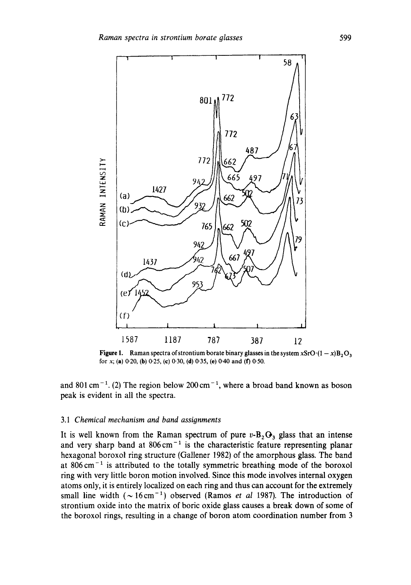

**Figure 1.** Raman spectra of strontium borate binary glasses in the system xSrO $\cdot$ (1 - x) $B_2O_3$ for x; (a) 0-20, (b) 0-25, (c) 0.30, (d) 0-35, (e) 0-40 and (f) 0"50.

and 801 cm<sup>-1</sup>. (2) The region below 200 cm<sup>-1</sup>, where a broad band known as boson peak is evident in all the spectra.

### *3.1 Chemical mechanism and band assignments*

It is well known from the Raman spectrum of pure  $v$ -B<sub>2</sub> $O_3$  glass that an intense and very sharp band at  $806 \text{ cm}^{-1}$  is the characteristic feature representing planar hexagonal boroxol ring structure (Gallener 1982) of the amorphous glass. The band at  $806 \text{ cm}^{-1}$  is attributed to the totally symmetric breathing mode of the boroxol ring with very little boron motion involved. Since this mode involves internal oxygen atoms only, it is entirely localized on each ring and thus can account for the extremely small line width  $({\sim} 16 \text{ cm}^{-1})$  observed (Ramos *et al 1987)*. The introduction of strontium oxide into the matrix of boric oxide glass causes a break down of some of the boroxol rings, resulting in a change of boron atom coordination number from 3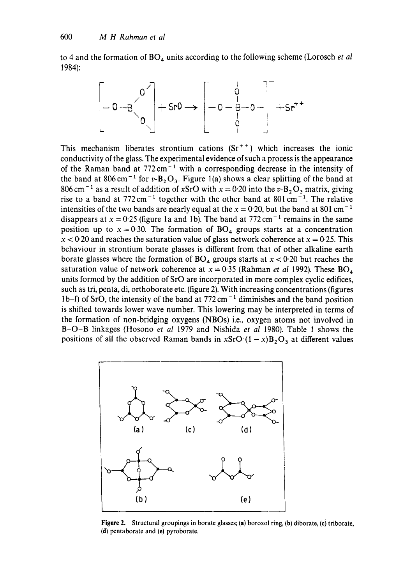to 4 and the formation of BO<sub>4</sub> units according to the following scheme (Lorosch *et al* 1984):

$$
\left[-0-8\begin{matrix}0\\0\\0\end{matrix}\right]+5r0\longrightarrow\left[-0-\frac{1}{8}-0-\frac{1}{8}+5r^{+}
$$

This mechanism liberates strontium cations  $(Sr^{++})$  which increases the ionic conductivity of the glass. The experimental evidence of such a process is the appearance of the Raman band at  $772 \text{ cm}^{-1}$  with a corresponding decrease in the intensity of the band at 806 cm<sup>-1</sup> for v-B<sub>2</sub>O<sub>3</sub>. Figure 1(a) shows a clear splitting of the band at 806 cm<sup>-1</sup> as a result of addition of xSrO with  $x = 0.20$  into the v-B<sub>2</sub>O<sub>3</sub> matrix, giving rise to a band at 772 cm<sup>-1</sup> together with the other band at 801 cm<sup>-1</sup>. The relative intensities of the two bands are nearly equal at the  $x = 0.20$ , but the band at 801 cm<sup>-1</sup> disappears at  $x = 0.25$  (figure 1a and 1b). The band at 772 cm<sup>-1</sup> remains in the same position up to  $x = 0.30$ . The formation of BO<sub>4</sub> groups starts at a concentration  $x < 0.20$  and reaches the saturation value of glass network coherence at  $x = 0.25$ . This behaviour in strontium borate glasses is different from that of other alkaline earth borate glasses where the formation of  $BO_4$  groups starts at  $x < 0.20$  but reaches the saturation value of network coherence at  $x = 0.35$  (Rahman *et al 1992*). These BO<sub>4</sub> units formed by the addition of SrO are incorporated in more complex cyclic edifices, such as tri, penta, di, orthoborate etc. (figure 2). With increasing concentrations (figures 1b-f) of SrO, the intensity of the band at  $772 \text{ cm}^{-1}$  diminishes and the band position is shifted towards lower wave number. This lowering may be interpreted in terms of the formation of non-bridging oxygens (NBOs) i.e., oxygen atoms not involved in B-O-B linkages (Hosono *et al* 1979 and Nishida *et al* 1980). Table 1 shows the positions of all the observed Raman bands in  $xSrO(1-x)B<sub>2</sub>O<sub>3</sub>$  at different values



Figure 2. Structural groupings in borate glasses; (a) boroxol ring, (b) diborate, (e) triborate, (d) pentaborate and (e) pyroborate.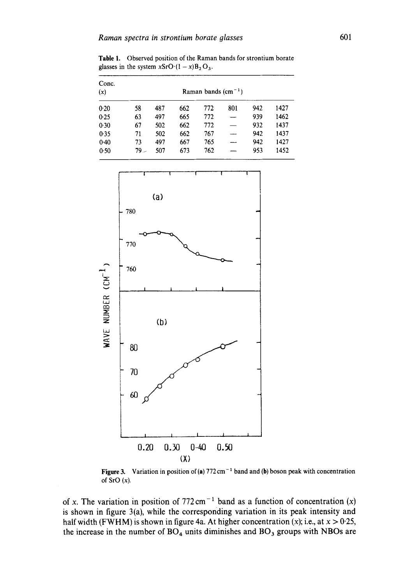**Table 1. Observed position of the** Raman bands for strontium borate glasses in the system  $xSrO(1-x)B_2O_3$ .

| Conc.<br>(x) | Raman bands $(cm-1)$ |     |     |     |                          |     |      |  |
|--------------|----------------------|-----|-----|-----|--------------------------|-----|------|--|
| 0.20         | 58                   | 487 | 662 | 772 | 801                      | 942 | 1427 |  |
| 0.25         | 63                   | 497 | 665 | 772 |                          | 939 | 1462 |  |
| 0.30         | 67                   | 502 | 662 | 772 | $\overline{\phantom{a}}$ | 932 | 1437 |  |
| 0.35         | 71                   | 502 | 662 | 767 |                          | 942 | 1437 |  |
| 0.40         | 73                   | 497 | 667 | 765 |                          | 942 | 1427 |  |
| 0.50         | 79.-                 | 507 | 673 | 762 |                          | 953 | 1452 |  |



**Figure 3.** Variation in position of (a) 772 cm<sup>-1</sup> band and (b) boson peak with concentration **of** SrO (x).

of x. The variation in position of  $772 \text{ cm}^{-1}$  band as a function of concentration  $(x)$ **is shown in figure 3(a), while the corresponding variation in its peak intensity and**  half width (FWHM) is shown in figure 4a. At higher concentration  $(x)$ ; i.e., at  $x > 0.25$ , **the increase in the number of BO4 units diminishes and BO 3 groups with NBOs are**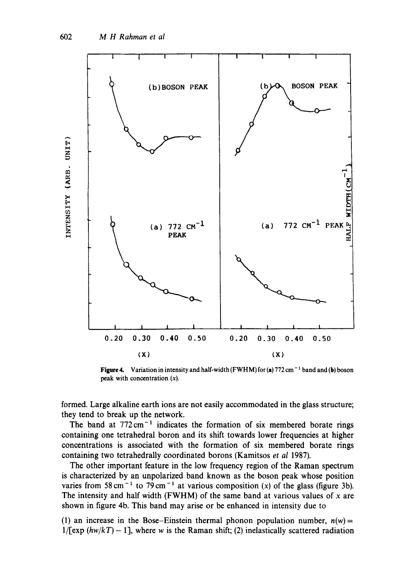

**Figure 4.** Variation in intensity and half-width (FWHM) for (a) 772 cm<sup>-1</sup> band and (b) boson peak with concentration  $(x)$ .

formed. Large alkaline earth ions are not easily accommodated in the glass structure; they tend to break up the network.

The band at  $772 \text{ cm}^{-1}$  indicates the formation of six membered borate rings containing one tetrahedral boron and its shift towards lower frequencies at higher concentrations is associated with the formation of six membered borate rings containing two tetrahedrally coordinated borons (Kamitsos et al 1987).

The other important feature in the low frequency region of the Raman spectrum is characterized by an unpolarized band known as the boson peak whose position varies from 58 cm<sup>-1</sup> to 79 cm<sup>-1</sup> at various composition (x) of the glass (figure 3b). The intensity and half width (FWHM) of the same band at various values of  $x$  are shown in figure 4b. This band may arise or be enhanced in intensity due to

(1) an increase in the Bose-Einstein thermal phonon population number,  $n(w)$  =  $1/$ [exp  $(hw/kT) - 1$ ], where w is the Raman shift; (2) inelastically scattered radiation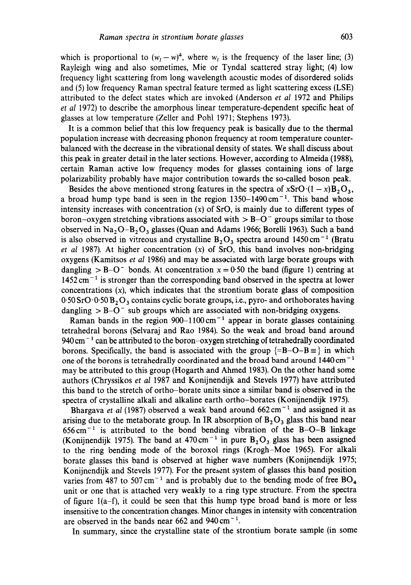which is proportional to  $(w_t - w)^4$ , where  $w_t$  is the frequency of the laser line; (3) Rayleigh wing and also sometimes, Mie or Tyndal scattered stray light; (4) low frequency light scattering from long wavelength acoustic modes of disordered solids and (5) low frequency Raman spectral feature termed as light scattering excess (LSE) attributed to the defect states which are invoked (Anderson *et al* 1972 and Philips *et al* 1972) to describe the amorphous linear temperature-dependent specific heat of glasses at low temperature (Zeller and Pohl 1971; Stephens 1973).

It is a common belief that this low frequency peak is basically due to the thermal population increase with decreasing phonon frequency at room temperature counterbalanced with the decrease in the vibrational density of states. We shall discuss about this peak in greater detail in the later sections. However, according to Almeida (1988), certain Raman active low frequency modes for glasses containing ions of large polarizability probably have major contribution towards the so-called boson peak.

Besides the above mentioned strong features in the spectra of  $xSrO(1-x)B_2O_3$ , a broad hump type band is seen in the region  $1350-1490 \text{ cm}^{-1}$ . This band whose intensity increases with concentration  $(x)$  of SrO, is mainly due to different types of boron-oxygen stretching vibrations associated with  $>$  B-O<sup>-</sup> groups similar to those observed in  $Na<sub>2</sub>O-B<sub>2</sub>O<sub>3</sub>$  glasses (Quan and Adams 1966; Borelli 1963). Such a band is also observed in vitreous and crystalline  $B_2O_3$  spectra around 1450 cm<sup>-1</sup> (Bratu *et al* 1987). At higher concentration (x) of SrO, this band involves non-bridging oxygens (Kamitsos *et al* 1986) and may be associated with large borate groups with dangling  $>$  B-O<sup>-</sup> bonds. At concentration  $x = 0.50$  the band (figure 1) centring at  $1452 \text{ cm}^{-1}$  is stronger than the corresponding band observed in the spectra at lower concentrations  $(x)$ , which indicates that the strontium borate glass of composition  $0.50$  SrO $0.0$ :  $0.50$  B<sub>2</sub>O<sub>3</sub> contains cyclic borate groups, i.e., pyro- and orthoborates having dangling  $>$  B-O<sup>-</sup> sub groups which are associated with non-bridging oxygens.

Raman bands in the region  $900-1100 \text{ cm}^{-1}$  appear in borate glasses containing tetrahedral borons (Selvaraj and Rao 1984). So the weak and broad band around  $940 \text{ cm}^{-1}$  can be attributed to the boron-oxygen stretching of tetrahedrally coordinated borons. Specifically, the band is associated with the group  $\{=\mathbf{B}-\mathbf{O}-\mathbf{B}\equiv\}$  in which one of the borons is tetrahedrally coordinated and the broad band around  $1440 \text{ cm}^{-1}$ may be attributed to this group (Hogarth and Ahmed 1983). On the other hand some authors (Chryssikos *et al* 1987 and Konijnendijk and Stevels 1977) have attributed this band to the stretch of ortho-borate units since a similar band is observed in the spectra of crystalline alkali and alkaline earth ortho-borates (Konijnendijk 1975).

Bhargava *et al* (1987) observed a weak band around 662 cm<sup>-1</sup> and assigned it as arising due to the metaborate group. In IR absorption of  $B_2O_3$  glass this band near  $656 \text{ cm}^{-1}$  is attributed to the bond bending vibration of the B-O-B linkage (Konijnendijk 1975). The band at  $470 \text{ cm}^{-1}$  in pure  $B_2O_3$  glass has been assigned to the ring bending mode of the boroxol rings (Krogh-Moe 1965). For alkali borate glasses this band is observed at higher wave numbers (Konijnendijk 1975; Konijnendijk and Stevels 1977). For the present system of glasses this band position varies from 487 to 507 cm<sup>-1</sup> and is probably due to the bending mode of free  $BO_4$ unit or one that is attached very weakly to a ring type structure. From the spectra of figure  $1(a-f)$ , it could be seen that this hump type broad band is more or less insensitive to the concentration changes. Minor changes in intensity with concentration are observed in the bands near 662 and  $940 \text{ cm}^{-1}$ .

In summary, since the crystalline state of the strontium borate sample (in some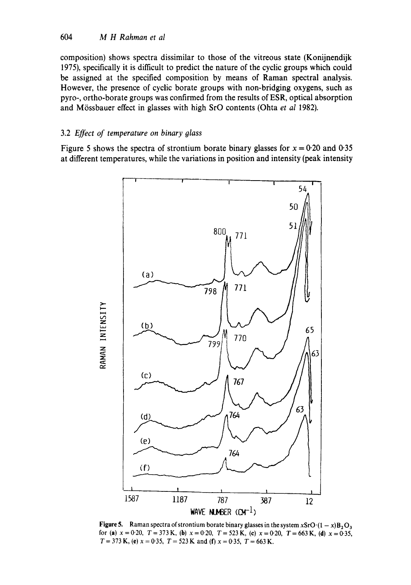composition) shows spectra dissimilar to those of the vitreous state (Konijnendijk 1975), specifically it is difficult to predict the nature of the cyclic groups which could be assigned at the specified composition by means of Raman spectral analysis. However, the presence of cyclic borate groups with non-bridging oxygens, such as pyro-, ortho-borate groups was confirmed from the results of ESR, optical absorption and M6ssbauer effect in glasses with high SrO contents (Ohta *et al* 1982).

## 3.2 *Effect of temperature on binary glass*

Figure 5 shows the spectra of strontium borate binary glasses for  $x = 0.20$  and 0.35 at different temperatures, while the variations in position and intensity (peak intensity



Figure 5. Raman spectra of strontium borate binary glasses in the system xSrO $\cdot (1 - x)B_2O_3$ for (a)  $x = 0.20$ ,  $T = 373$  K, (b)  $x = 0.20$ ,  $T = 523$  K, (c)  $x = 0.20$ ,  $T = 663$  K, (d)  $x = 0.35$ ,  $T = 373$  K, (e)  $x = 0.35$ ,  $T = 523$  K and (f)  $x = 0.35$ ,  $T = 663$  K.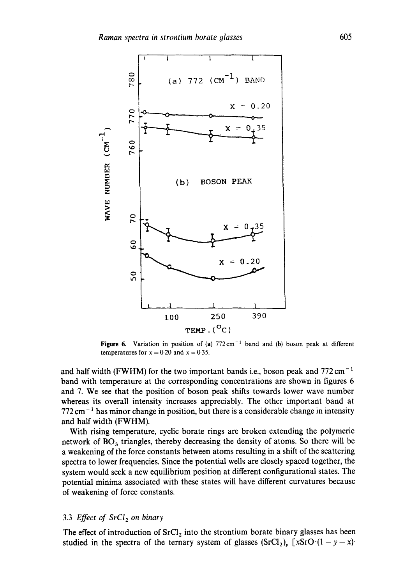

Figure 6. Variation in position of (a)  $772 \text{ cm}^{-1}$  band and (b) boson peak at different temperatures for  $x = 0.20$  and  $x = 0.35$ .

and half width (FWHM) for the two important bands i.e., boson peak and  $772 \text{ cm}^{-1}$ band with temperature at the corresponding concentrations are shown in figures 6 and 7. We see that the position of boson peak shifts towards lower wave number whereas its overall intensity increases appreciably. The other important band at  $772 \text{ cm}^{-1}$  has minor change in position, but there is a considerable change in intensity and half width (FWHM).

With rising temperature, cyclic borate rings are broken extending the polymeric network of  $BO_3$  triangles, thereby decreasing the density of atoms. So there will be a weakening of the force constants between atoms resulting in a shift of the scattering spectra to lower frequencies. Since the potential wells are closely spaced together, the system would seek a new equilibrium position at different configurational states. The potential minima associated with these states will have different curvatures because of weakening of force constants.

# 3.3 *Effect of SrCl<sub>2</sub> on binary*

The effect of introduction of  $SrCl<sub>2</sub>$  into the strontium borate binary glasses has been studied in the spectra of the ternary system of glasses  $(SrCl_2)_y$  [xSrO $(1-y-x)$ .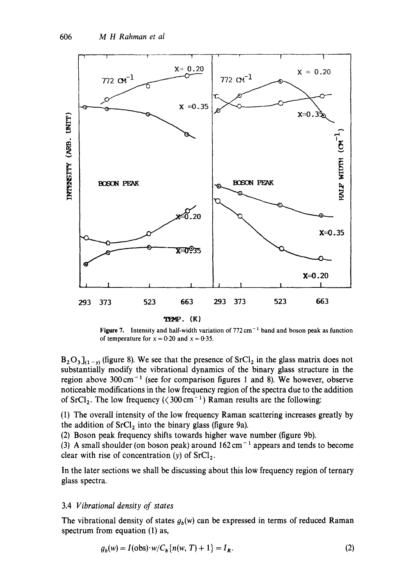

Figure 7. Intensity and half-width variation of  $772 \text{ cm}^{-1}$  band and boson peak as function of temperature for  $x = 0.20$  and  $x = 0.35$ .

 $B_2O_3$ <sub>1(1-y)</sub> (figure 8). We see that the presence of SrCl<sub>2</sub> in the glass matrix does not substantially modify the vibrational dynamics of the binary glass structure in the region above  $300 \text{ cm}^{-1}$  (see for comparison figures 1 and 8). We however, observe noticeable modifications in the low frequency region of the spectra due to the addition of  $SrCl<sub>2</sub>$ . The low frequency ( $\langle 300 \text{ cm}^{-1} \rangle$  Raman results are the following:

(1) The overall intensity of the low frequency Raman scattering increases greatly by the addition of  $SrCl<sub>2</sub>$  into the binary glass (figure 9a).

(2) Boson peak frequency shifts towards higher wave number (figure 9b).

(3) A small shoulder (on boson peak) around  $162 \text{ cm}^{-1}$  appears and tends to become clear with rise of concentration (y) of  $\text{SrCl}_2$ .

In the later sections we shall be discussing about this low frequency region of ternary glass spectra.

## 3.4 *Vibrational density of states*

The vibrational density of states  $g_b(w)$  can be expressed in terms of reduced Raman spectrum from equation (1) as,

$$
g_b(w) = I(obs) \cdot w / C_b \{ n(w, T) + 1 \} = I_R.
$$
 (2)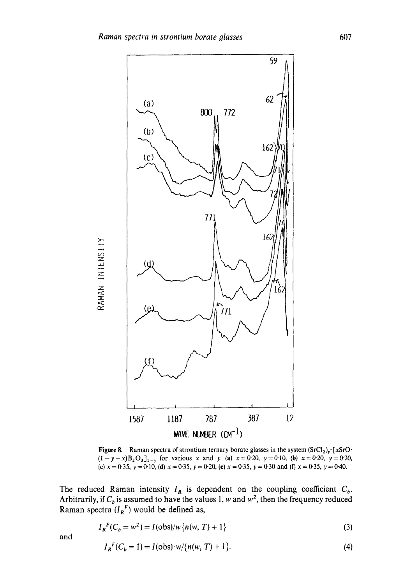

**Figure 8.** Raman spectra of strontium ternary borate glasses in the system  $(SrCl_2)_y$ . [xSrO.  $(1-y-x)B_2O_3$ ]<sub>1-y</sub> for various x and y. (a)  $x=0.20$ ,  $y=0.10$ , (b)  $x=0.20$ ,  $y=0.20$ , **(c)**  $x = 0.35$ ,  $y = 0.10$ , **(d)**  $x = 0.35$ ,  $y = 0.20$ , **(e)**  $x = 0.35$ ,  $y = 0.30$  and **(f)**  $x = 0.35$ ,  $y = 0.40$ .

The reduced Raman intensity  $I_R$  is dependent on the coupling coefficient  $C_b$ . Arbitrarily, if  $C_b$  is assumed to have the values 1, w and  $w^2$ , then the frequency reduced **Raman spectra**  $(I_R^r)$  **would be defined as,** 

$$
I_R{}^F(C_b = w^2) = I(obs)/w\{n(w, T) + 1\}
$$
 (3)

**and** 

$$
I_R^F(C_b = 1) = I(obs) \cdot w / \{n(w, T) + 1\}.
$$
 (4)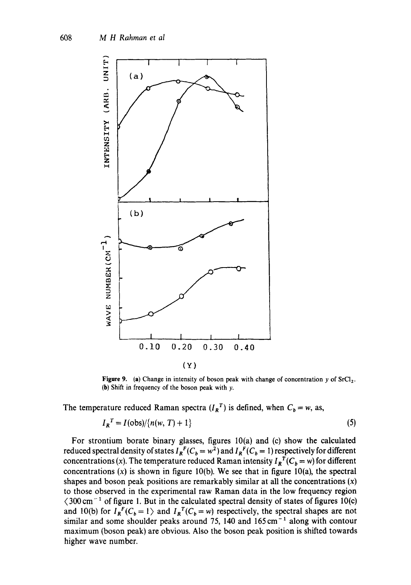

Figure 9. (a) Change in intensity of boson peak with change of concentration y of  $\text{SrCl}_2$ . (b) Shift in frequency of the boson peak with y.

The temperature reduced Raman spectra  $(I_R^T)$  is defined, when  $C_b = w$ , as,

$$
I_R^T = I(\text{obs})/\{n(w, T) + 1\}
$$
\n<sup>(5)</sup>

For strontium borate binary glasses, figures 10(a) and (c) show the calculated reduced spectral density of states  $I_R^F(C_b = w^2)$  and  $I_R^F(C_b = 1)$  respectively for different concentrations (x). The temperature reduced Raman intensity  $I_R^T(C_b = w)$  for different concentrations  $(x)$  is shown in figure 10(b). We see that in figure 10(a), the spectral shapes and boson peak positions are remarkably similar at all the concentrations  $(x)$ to those observed in the experimental raw Raman data in the low frequency region  $\langle 300 \text{ cm}^{-1}$  of figure 1. But in the calculated spectral density of states of figures 10(c) and 10(b) for  $I_R^F(C_b = 1)$  and  $I_R^T(C_b = w)$  respectively, the spectral shapes are not similar and some shoulder peaks around 75, 140 and  $165 \text{ cm}^{-1}$  along with contour maximum (boson peak) are obvious. Also the boson peak position is shifted towards higher wave number.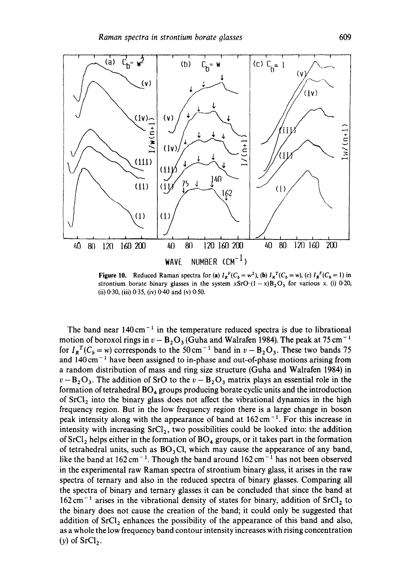

Figure 10. Reduced Raman spectra for (a)  $I_R^F(C_b = w^2)$ , (b)  $I_R^T(C_b = w)$ , (c)  $I_R^F(C_b = 1)$  in strontium borate binary glasses in the system  $xSrO:(1-x)B<sub>2</sub>O<sub>3</sub>$  for various x. (i) 0-20, (ii) 0'30, (iii) 0'35, (iv) 0.40 and (v) 0.50.

The band near  $140 \text{ cm}^{-1}$  in the temperature reduced spectra is due to librational motion of boroxol rings in  $v - B_2O_3$  (Guha and Walrafen 1984). The peak at 75 cm<sup>-1</sup> for  $I_R^T(C_b = w)$  corresponds to the 50 cm<sup>-1</sup> band in  $v - B_2O_3$ . These two bands 75 and  $140 \text{ cm}^{-1}$  have been assigned to in-phase and out-of-phase motions arising from a random distribution of mass and ring size structure (Guha and Walrafen 1984) in  $v - B_2 O_3$ . The addition of SrO to the  $v - B_2 O_3$  matrix plays an essential role in the formation of tetrahedral  $BO_4$  groups producing borate cyclic units and the introduction of  $SrCl<sub>2</sub>$  into the binary glass does not affect the vibrational dynamics in the high frequency region. But in the low frequency region there is a large change in boson peak intensity along with the appearance of band at  $162 \text{ cm}^{-1}$ . For this increase in intensity with increasing  $SrCl<sub>2</sub>$ , two possibilities could be looked into: the addition of  $SrCl<sub>2</sub>$  helps either in the formation of  $BO<sub>4</sub>$  groups, or it takes part in the formation of tetrahedral units, such as  $BO_3Cl$ , which may cause the appearance of any band, like the band at  $162 \text{ cm}^{-1}$ . Though the band around  $162 \text{ cm}^{-1}$  has not been observed in the experimental raw Raman spectra of strontium binary glass, it arises in the raw spectra of ternary and also in the reduced spectra of binary glasses. Comparing all the spectra of binary and ternary glasses it can be concluded that since the band at  $162 \text{ cm}^{-1}$  arises in the vibrational density of states for binary, addition of SrCl<sub>2</sub> to the binary does not cause the creation of the band; it could only be suggested that addition of  $SrCl<sub>2</sub>$  enhances the possibility of the appearance of this band and also, as a whole the low frequency band contour intensity increases with rising concentration (y) of  $SrCl<sub>2</sub>$ .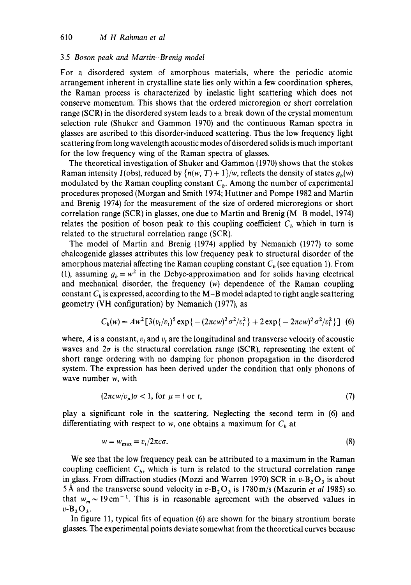#### 3.5 *Boson peak and Martin-Brenig model*

For a disordered system of amorphous materials, where the periodic atomic arrangement inherent in crystalline state lies only within a few coordination spheres, the Raman process is characterized by inelastic light scattering which does not conserve momentum. This shows that the ordered microregion or short correlation range (SCR) in the disordered system leads to a break down of the crystal momentum selection rule (Shuker and Gammon 1970) and the continuous Raman spectra in glasses are ascribed to this disorder-induced scattering. Thus the low frequency light scattering from long wavelength acoustic modes of disordered solids is much important for the low frequency wing of the Raman spectra of glasses.

The theoretical investigation of Shuker and Gammon (1970) shows that the stokes Raman intensity  $I(obs)$ , reduced by  $\{n(w, T) + 1\}$ /w, reflects the density of states  $g_h(w)$ modulated by the Raman coupling constant  $C_b$ . Among the number of experimental procedures proposed (Morgan and Smith 1974; Huttner and Pompe 1982 and Martin and Brenig 1974) for the measurement of the size of ordered microregions or short correlation range (SCR) in glasses, one due to Martin and Brenig (M-B model, 1974) relates the position of boson peak to this coupling coefficient  $C<sub>b</sub>$  which in turn is related to the structural correlation range (SCR).

The model of Martin and Brenig (1974) applied by Nemanich (1977) to some chalcogenide glasses attributes this low frequency peak to structural disorder of the amorphous material affecting the Raman coupling constant  $C_b$  (see equation 1). From (1), assuming  $g_b = w^2$  in the Debye-approximation and for solids having electrical and mechanical disorder, the frequency (w) dependence of the Raman coupling constant  $C_b$  is expressed, according to the M-B model adapted to right angle scattering geometry (VH configuration) by Nemanich (1977), as

$$
C_b(w) = Aw^2[3(v_t/v_t)^5 \exp\{- (2\pi cw)^2 \sigma^2/v_t^2\} + 2 \exp\{-2\pi cw)^2 \sigma^2/v_t^2\}] \tag{6}
$$

where, A is a constant,  $v_i$  and  $v_t$  are the longitudinal and transverse velocity of acoustic waves and  $2\sigma$  is the structural correlation range (SCR), representing the extent of short range ordering with no damping for phonon propagation in the disordered system. The expression has been derived under the condition that only phonons of wave number w, with

$$
(2\pi c w/v_{\mu})\sigma < 1, \text{ for } \mu = l \text{ or } t,\tag{7}
$$

play a significant role in the scattering. Neglecting the second term in (6) and differentiating with respect to w, one obtains a maximum for  $C<sub>b</sub>$  at

$$
w = w_{\text{max}} = v_t / 2\pi c \sigma. \tag{8}
$$

We see that the low frequency peak can be attributed to a maximum in the Raman coupling coefficient  $C<sub>b</sub>$ , which is turn is related to the structural correlation range in glass. From diffraction studies (Mozzi and Warren 1970) SCR in  $v$ -B<sub>2</sub>O<sub>3</sub> is about 5 Å and the transverse sound velocity in  $v$ -B<sub>2</sub>O<sub>3</sub> is 1780 m/s (Mazurin *et al* 1985) so. that  $w_m \sim 19 \text{ cm}^{-1}$ . This is in reasonable agreement with the observed values in  $v-B_2O_3$ .

In figure 11, typical fits of equation (6) are shown for the binary strontium borate glasses. The experimental points deviate somewhat from the theoretical curves because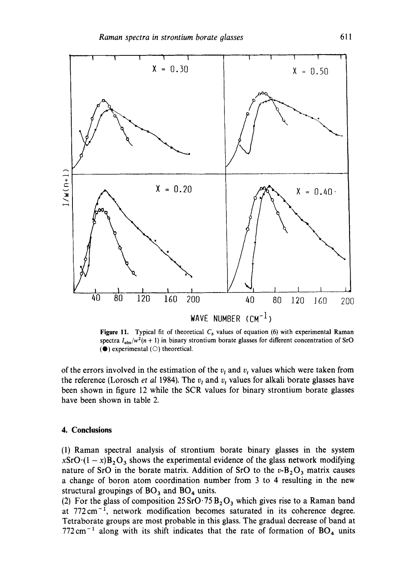

**Figure 11.** Typical fit of theoretical  $C<sub>b</sub>$  values of equation (6) with experimental Raman spectra  $I_{obs}/w^2(n + 1)$  in binary strontium borate glasses for different concentration of SrO  $(①)$  experimental  $(①)$  theoretical.

of the errors involved in the estimation of the  $v_t$  and  $v_t$  values which were taken from the reference (Lorosch *et al 1984)*. The  $v<sub>t</sub>$  and  $v<sub>t</sub>$  values for alkali borate glasses have been shown in figure 12 while the SCR values for binary strontium borate glasses have been shown in table 2.

#### **4. Conclusions**

(1) Raman spectral analysis of strontium borate binary glasses in the system  $xSrO(1-x)B_2O_3$  shows the experimental evidence of the glass network modifying nature of SrO in the borate matrix. Addition of SrO to the  $v-B_2O_3$  matrix causes a change of boron atom coordination number from 3 to 4 resulting in the new structural groupings of  $BO<sub>3</sub>$  and  $BO<sub>4</sub>$  units.

(2) For the glass of composition  $25 \text{SrO} \cdot 75 \text{B}_2\text{O}_3$  which gives rise to a Raman band at 772cm -1, network modification becomes saturated in its coherence degree. Tetraborate groups are most probable in this glass. The gradual decrease of band at  $772 \text{ cm}^{-1}$  along with its shift indicates that the rate of formation of BO<sub>4</sub> units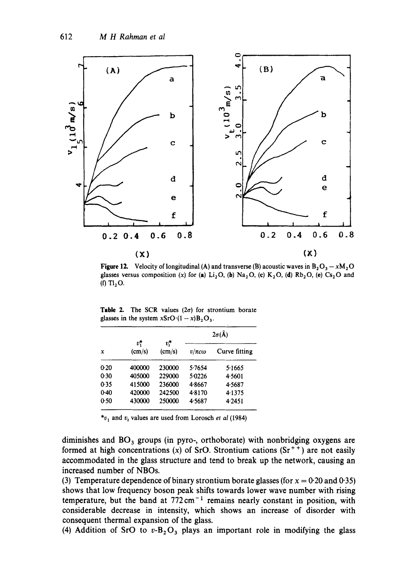

**Figure 12.** Velocity of longitudinal (A) and transverse (B) acoustic waves in  $B_2O_3 - xM_2O$ glasses versus composition (x) for (a) Li<sub>2</sub>O, (b) Na<sub>2</sub>O, (c) K<sub>2</sub>O, (d) Rb<sub>2</sub>O, (e) Cs<sub>2</sub>O and (f)  $T_{2}O$ .

| $\mathbf x$ |                 | v*<br>(cm/s) | $2\sigma(\AA)$  |               |  |  |
|-------------|-----------------|--------------|-----------------|---------------|--|--|
|             | $v^*$<br>(cm/s) |              | $v/\pi c\omega$ | Curve fitting |  |  |
| 0.20        | 400000          | 230000       | 5.7654          | 5.1665        |  |  |
| 0.30        | 405000          | 229000       | 5.0226          | 4.5601        |  |  |
| 0.35        | 415000          | 236000       | 4.8667          | 4.5687        |  |  |
| $0-40$      | 420000          | 242500       | 4.8170          | 4.1375        |  |  |
| 0.50        | 430000          | 250000       | 4.5687          | 4.2451        |  |  |

Table 2. The SCR values  $(2\sigma)$  for strontium borate glasses in the system  $xSrO(1-x)B_2O_3$ .

 $*_v_1$  and  $v_t$  values are used from Lorosch *et al* (1984)

diminishes and  $BO<sub>3</sub>$  groups (in pyro-, orthoborate) with nonbridging oxygens are formed at high concentrations (x) of SrO. Strontium cations  $(Sr^{+})$  are not easily accommodated in the glass structure and tend to break up the network, causing an increased number of NBOs.

(3) Temperature dependence of binary strontium borate glasses (for  $x = 0.20$  and 0.35) shows that low frequency boson peak shifts towards lower wave number with rising temperature, but the band at  $772 \text{ cm}^{-1}$  remains nearly constant in position, with considerable decrease in intensity, which shows an increase of disorder with consequent thermal expansion of the glass.

(4) Addition of SrO to  $v - B_2O_3$  plays an important role in modifying the glass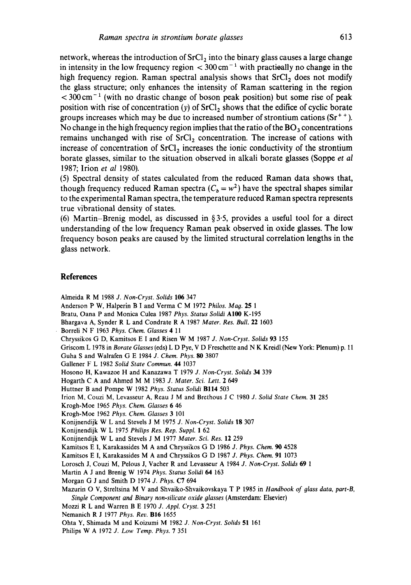network, whereas the introduction of  $SrCl<sub>2</sub>$  into the binary glass causes a large change in intensity in the low frequency region  $<$  300 cm<sup>-1</sup> with practically no change in the high frequency region. Raman spectral analysis shows that SrCl<sub>2</sub> does not modify **the glass structure; only enhances the intensity of Raman scattering in the region < 300 cm- 1 (with no drastic change of boson peak position) but some rise of peak**  position with rise of concentration  $(y)$  of SrCl<sub>2</sub> shows that the edifice of cyclic borate **groups increases which may be due to increased number of strontium cations (Sr ÷ ÷ ).**  No change in the high frequency region implies that the ratio of the **BO**<sub>3</sub> concentrations remains unchanged with rise of SrCl<sub>2</sub> concentration. The increase of cations with increase of concentration of SrCl<sub>2</sub> increases the ionic conductivity of the strontium **borate glasses, similar to the situation observed in alkali borate glasses (Soppe** *et al*  **1987; Irion** *et al* **1980).** 

**(5) Spectral density of states calculated from the reduced Raman data shows that,**  though frequency reduced Raman spectra  $(C_b = w^2)$  have the spectral shapes similar **to the experimental Raman spectra, the temperature reduced Raman spectra represents true vibrational density of states.** 

**(6) Martin--Brenig model, as discussed in § 3.5, provides a useful tool for a direct understanding of the low frequency Raman peak observed in oxide glasses. The low frequency boson peaks are caused by the limited structural correlation lengths in the glass network.** 

#### **References**

**Almeida** R M 1988 *J. Non-Cryst. Solids* 106 347

**Anderson** P W, Halperin B I **and Verma** C M 1972 *Philos. Mag.* 25 1

**Bratu, Oana P and Monica Culea** 1987 *Phys. Status Solidi AIO0* K-195

**Bhargava** A, Synder R L **and Condrate** R A 1987 *Mater. Res. Bull.* 22 1603

Borreli N F 1963 *Phys. Chem. Glasses 4 11* 

**Chryssikos** G D, Kamitsos E I **and Risen** W M 1987 *J. Non-Cryst. Solids* 93 155

**Griscom** L 1978 **in** *Borate Glasses* (eds) L D Pye, V D **Freschette and** N K Kreidl (New **York: Plenum)** p. 11

**Guha S and Walrafen** G E 1984 *J. Chem. Phys. 80* 3807

**Gallener** F L 1982 *Solid State Commun. 44* 1037

**Hosono H, Kawazoe H and Kanazawa** T 1979 *J. Non-Cryst. Solids 34* 339

**Hogarth** C A and Ahmed M M 1983 *J. Mater. Sci. Lett. 2 649* 

**Huttner B and Pompe** W 1982 *Phys. Status Solidi* BlI4 503

**Irion M, Couzi M, Levasseur A, Reau** J M **and Brethous** J C 1980 *J. Solid State Chem.* 31 285

**Krogh-Moe** 1965 *Phys. Chem. Glasses* 6 46

**Krogh-Moe** 1962 *Phys. Chem. Glasses* 3 101

**Konijnendijk** W L **and Stevels** J M 1975 *J. Non-Cryst. Solids* 18 307

**Konijnendijk** W L 1975 *Philips Res. Rep. Suppl.* 1 62

**Konijnendijk** W L **and Stevels** J M 1977 *Mater. Sci. Res.* 12 259

**Kamitsos** E I, Karakassides M A **and Chryssikos** G D 1986 *J. Phys. Chem. 90* 4528

**Kamitsos** E I, Karakassides M A **and Chryssikos** G D 1987 *J. Phys. Chem.* 91 1073

**Lorosch** J, Couzi M, Pelous J, Vacher R **and Levasseur** A 1984 *J. Non-Cryst. Solids* 69 1

**Martin** A J **and Brenig** W 1974 *Phys. Status Solidi 64* 163

**Morgan** G J **and Smith** D 1974 *J. Phys.* C7 694

**Mazurin** O V, Streltsina M V and Shvaiko-Shvaikovskaya T P 1985 **in** *Handbook of glass data, part-B, Single Component and Binary non-silicate oxide glasses* **(Amsterdam: Elsevier)** 

Mozzi R L **and Warren** B E 1970 *J. Appl, Cryst.* 3 251

**Nemanich** R J 1977 *Phys, Rev.* B16 1655

**Ohta Y, Shimada M and Koizumi** M 1982 *J. Non-Cryst. Solids* 51 161

**Philips** W A 1972 *J. Low Temp. Phys.* 7 351